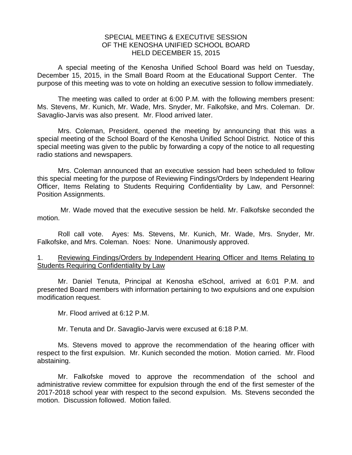## SPECIAL MEETING & EXECUTIVE SESSION OF THE KENOSHA UNIFIED SCHOOL BOARD HELD DECEMBER 15, 2015

A special meeting of the Kenosha Unified School Board was held on Tuesday, December 15, 2015, in the Small Board Room at the Educational Support Center. The purpose of this meeting was to vote on holding an executive session to follow immediately.

 The meeting was called to order at 6:00 P.M. with the following members present: Ms. Stevens, Mr. Kunich, Mr. Wade, Mrs. Snyder, Mr. Falkofske, and Mrs. Coleman. Dr. Savaglio-Jarvis was also present. Mr. Flood arrived later.

 Mrs. Coleman, President, opened the meeting by announcing that this was a special meeting of the School Board of the Kenosha Unified School District. Notice of this special meeting was given to the public by forwarding a copy of the notice to all requesting radio stations and newspapers.

 Mrs. Coleman announced that an executive session had been scheduled to follow this special meeting for the purpose of Reviewing Findings/Orders by Independent Hearing Officer, Items Relating to Students Requiring Confidentiality by Law, and Personnel: Position Assignments.

 Mr. Wade moved that the executive session be held. Mr. Falkofske seconded the motion.

 Roll call vote. Ayes: Ms. Stevens, Mr. Kunich, Mr. Wade, Mrs. Snyder, Mr. Falkofske, and Mrs. Coleman. Noes: None. Unanimously approved.

1. Reviewing Findings/Orders by Independent Hearing Officer and Items Relating to Students Requiring Confidentiality by Law

Mr. Daniel Tenuta, Principal at Kenosha eSchool, arrived at 6:01 P.M. and presented Board members with information pertaining to two expulsions and one expulsion modification request.

Mr. Flood arrived at 6:12 P.M.

Mr. Tenuta and Dr. Savaglio-Jarvis were excused at 6:18 P.M.

Ms. Stevens moved to approve the recommendation of the hearing officer with respect to the first expulsion. Mr. Kunich seconded the motion. Motion carried. Mr. Flood abstaining.

Mr. Falkofske moved to approve the recommendation of the school and administrative review committee for expulsion through the end of the first semester of the 2017-2018 school year with respect to the second expulsion. Ms. Stevens seconded the motion. Discussion followed. Motion failed.